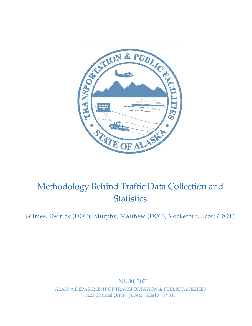

# Methodology Behind Traffic Data Collection and **Statistics**

Grimes, Derrick (DOT), Murphy, Matthew (DOT), Vockeroth, Scott (DOT)

JUNE 30, 2020 ALASKA DEPARTMENT OF TRANSPORTATION & PUBLIC FACILITIES 3121 Channel Drive | Juneau, Alaska | 99801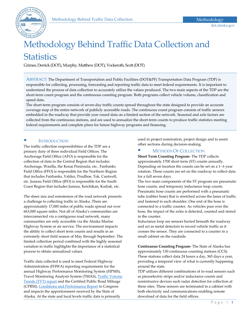

## Methodology Behind Traffic Data Collection and **Statistics**

Grimes, Derrick (DOT), Murphy, Matthew (DOT), Vockeroth, Scott (DOT)

ABSTRACT: The Department of Transportation and Public Facilities (DOT&PF) Transportation Data Program (TDP) is responsible for collecting, processing, forecasting and reporting traffic data to meet federal requirements. It is important to understand the process of data collection to accurately utilize the values produced. The two main aspects of the TDP are the short-term count program and the continuous counting program. Both programs collect vehicle volume, classification and speed data.

The short-term program consists of seven-day traffic counts spread throughout the state designed to provide an accurate coverage map of the entire network of publicly accessible roads. The continuous count program consists of traffic sensors embedded in the roadway that provide year round data on a limited section of the network. Seasonal and axle factors are collected from the continuous stations, and are used to annualize the short-term counts to produce traffic statistics meeting federal requirements and complete plans for future highway programs and financing.

#### **INTRODUCTION**

The traffic collection responsibilities of the TDP are a primary duty of three individual Field Offices. The Anchorage Field Office (AFO) is responsible for the collection of data in the Central Region that includes Anchorage, Wasilla, the Kenai Peninsula, etc.. Fairbanks Field Office (FFO) is responsible for the Northern Region that includes Fairbanks, Valdez, Prudhoe, Tok, Cantwell, etc. Juneau Field Office (JFO) is responsible for the South Coast Region that includes Juneau, Ketchikan, Kodiak, etc.

The sheer size and remoteness of the road network presents a challenge to collecting traffic in Alaska. There are approximately 17,000 miles of public roads spread out over 663,000 square miles. Not all of Alaska's communities are interconnected via a contiguous road network, many communities are only accessible via the Alaska Marine Highway System or air service. The environment impacts the ability to collect short term counts and results in an extremely short field season of May through September. The limited collection period combined with the highly seasonal variation in traffic highlights the importance of a statistical process to obtain annualized values.

Traffic data collected is used to meet Federal Highway Administration (FHWA) reporting requirements for the annual Highway Performance Monitoring System (HPMS), Travel Monitoring Analysis System (TMAS), [Traffic Volume](https://www.fhwa.dot.gov/policyinformation/travel_monitoring/tvt.cfm)  [Trends \(TVT\) report](https://www.fhwa.dot.gov/policyinformation/travel_monitoring/tvt.cfm) and the Certified Public Road Mileage (CPRM)[, Conditions and Performance Report](https://www.fhwa.dot.gov/policy/23cpr/) to Congress and impacts the apportionment received by the State of Alaska. At the state and local levels traffic data is primarily

used in project nomination, project design and to assist other sections during decision-making.

#### **EXECUTED METHODS OF COLLECTION**

**Short Term Counting Program-** The TDP collects approximately 1700 short term (ST) counts annually. Depending on location the counts can be set on a 1- 6 year rotation. These counts are set on the roadway to collect data for a full seven days.

The two main components of the ST program are pneumatic hose counts, and temporary inductance loop counts. Pneumatic hose counts are performed with a pneumatic tube (rubber hose) that is stretched across the lanes of traffic and fastened to each shoulder. One end of the hose is connected to a traffic counter. As vehicles pass over the hose, the impact of the axles is detected, counted and stored in the counter.

Inductance loop are sensors buried beneath the roadway and act as metal detectors to record vehicle traffic as it crosses the sensor. They are connected to a counter in a small cabinet on the roadside.

**Continuous Counting Program-** The State of Alaska has approximately 130 continuous counting stations (CCS). These stations collect data 24 hours a day, 365 days a year, providing a temporal view of what is currently happening around the state.

TDP utilizes different combinations of in-road sensors such as piezoelectric strips and/or inductance counts and nonintrusive devices such radar detection for collection at these sites. These sensors are terminated in a cabinet with both electricity and communications enabling remote download of data for the field offices.